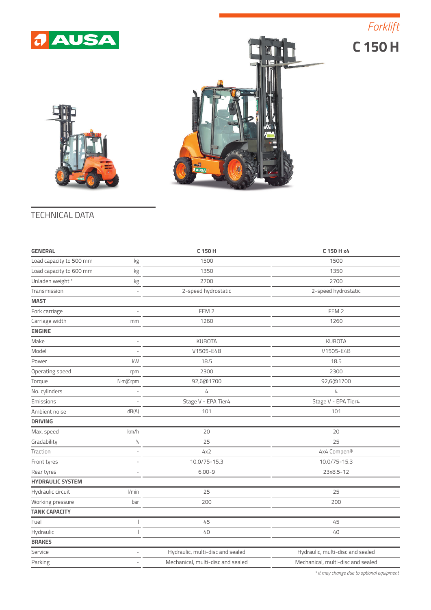





## TECHNICAL DATA

| <b>GENERAL</b>          |                          | C 150 H                           | C 150 H x4                        |  |
|-------------------------|--------------------------|-----------------------------------|-----------------------------------|--|
| Load capacity to 500 mm | kg                       | 1500                              | 1500                              |  |
| Load capacity to 600 mm | kg                       | 1350                              | 1350                              |  |
| Unladen weight*         | kg                       | 2700                              | 2700                              |  |
| Transmission            | $\sim$                   | 2-speed hydrostatic               | 2-speed hydrostatic               |  |
| <b>MAST</b>             |                          |                                   |                                   |  |
| Fork carriage           | $\overline{\phantom{a}}$ | FEM <sub>2</sub>                  | FEM <sub>2</sub>                  |  |
| Carriage width          | mm                       | 1260                              | 1260                              |  |
| <b>ENGINE</b>           |                          |                                   |                                   |  |
| Make                    | $\bar{~}$                | <b>KUBOTA</b>                     | <b>KUBOTA</b>                     |  |
| Model                   |                          | V1505-E4B                         | V1505-E4B                         |  |
| Power                   | kW                       | 18.5                              | 18.5                              |  |
| Operating speed         | rpm                      | 2300                              | 2300                              |  |
| Torque                  | N·m@rpm                  | 92,6@1700                         | 92,6@1700                         |  |
| No. cylinders           |                          | 4                                 | 4                                 |  |
| Emissions               |                          | Stage V - EPA Tier4               | Stage V - EPA Tier4               |  |
| Ambient noise           | dB(A)                    | 101                               | 101                               |  |
| <b>DRIVING</b>          |                          |                                   |                                   |  |
| Max. speed              | km/h                     | 20                                | 20                                |  |
| Gradability             | $\%$                     | 25                                | 25                                |  |
| Traction                | J.                       | 4x2                               | 4x4 Compen®                       |  |
| Front tyres             |                          | 10.0/75-15.3                      | 10.0/75-15.3                      |  |
| Rear tyres              | L,                       | $6.00 - 9$                        | 23x8.5-12                         |  |
| <b>HYDRAULIC SYSTEM</b> |                          |                                   |                                   |  |
| Hydraulic circuit       | l/min                    | 25                                | 25                                |  |
| Working pressure        | bar                      | 200                               | 200                               |  |
| <b>TANK CAPACITY</b>    |                          |                                   |                                   |  |
| Fuel                    |                          | 45                                | 45                                |  |
| Hydraulic               |                          | 40                                | 40                                |  |
| <b>BRAKES</b>           |                          |                                   |                                   |  |
| Service                 |                          | Hydraulic, multi-disc and sealed  | Hydraulic, multi-disc and sealed  |  |
| Parking                 |                          | Mechanical, multi-disc and sealed | Mechanical, multi-disc and sealed |  |
|                         |                          |                                   |                                   |  |

*\* It may change due to optional equipment*

## *Forklift*

**C 150 H**